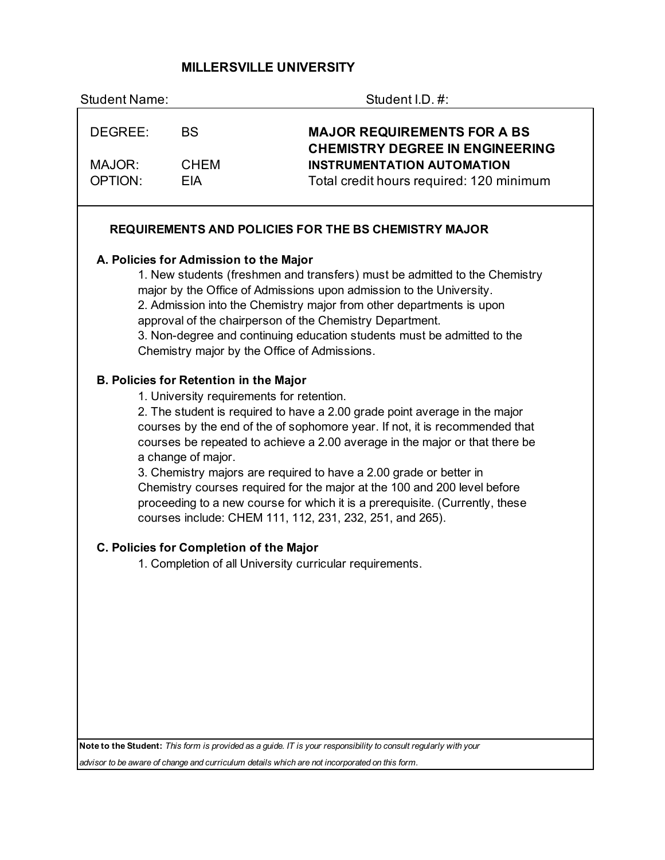# **MILLERSVILLE UNIVERSITY**

| <b>Student Name:</b> |                                                                                                                  | Student I.D. #:                                                                                                                                                                                                                                                                                                                                                                                                                                                                                                                        |
|----------------------|------------------------------------------------------------------------------------------------------------------|----------------------------------------------------------------------------------------------------------------------------------------------------------------------------------------------------------------------------------------------------------------------------------------------------------------------------------------------------------------------------------------------------------------------------------------------------------------------------------------------------------------------------------------|
| DEGREE:              | <b>BS</b>                                                                                                        | <b>MAJOR REQUIREMENTS FOR A BS</b><br><b>CHEMISTRY DEGREE IN ENGINEERING</b>                                                                                                                                                                                                                                                                                                                                                                                                                                                           |
| MAJOR:               | <b>CHEM</b>                                                                                                      | <b>INSTRUMENTATION AUTOMATION</b>                                                                                                                                                                                                                                                                                                                                                                                                                                                                                                      |
| <b>OPTION:</b>       | <b>EIA</b>                                                                                                       | Total credit hours required: 120 minimum                                                                                                                                                                                                                                                                                                                                                                                                                                                                                               |
|                      |                                                                                                                  | <b>REQUIREMENTS AND POLICIES FOR THE BS CHEMISTRY MAJOR</b>                                                                                                                                                                                                                                                                                                                                                                                                                                                                            |
|                      | A. Policies for Admission to the Major                                                                           | 1. New students (freshmen and transfers) must be admitted to the Chemistry<br>major by the Office of Admissions upon admission to the University.<br>2. Admission into the Chemistry major from other departments is upon<br>approval of the chairperson of the Chemistry Department.<br>3. Non-degree and continuing education students must be admitted to the<br>Chemistry major by the Office of Admissions.                                                                                                                       |
|                      | <b>B. Policies for Retention in the Major</b><br>1. University requirements for retention.<br>a change of major. | 2. The student is required to have a 2.00 grade point average in the major<br>courses by the end of the of sophomore year. If not, it is recommended that<br>courses be repeated to achieve a 2.00 average in the major or that there be<br>3. Chemistry majors are required to have a 2.00 grade or better in<br>Chemistry courses required for the major at the 100 and 200 level before<br>proceeding to a new course for which it is a prerequisite. (Currently, these<br>courses include: CHEM 111, 112, 231, 232, 251, and 265). |
|                      | C. Policies for Completion of the Major                                                                          |                                                                                                                                                                                                                                                                                                                                                                                                                                                                                                                                        |
|                      |                                                                                                                  | 1. Completion of all University curricular requirements.                                                                                                                                                                                                                                                                                                                                                                                                                                                                               |
|                      |                                                                                                                  |                                                                                                                                                                                                                                                                                                                                                                                                                                                                                                                                        |
|                      |                                                                                                                  |                                                                                                                                                                                                                                                                                                                                                                                                                                                                                                                                        |
|                      |                                                                                                                  |                                                                                                                                                                                                                                                                                                                                                                                                                                                                                                                                        |
|                      |                                                                                                                  |                                                                                                                                                                                                                                                                                                                                                                                                                                                                                                                                        |
|                      |                                                                                                                  |                                                                                                                                                                                                                                                                                                                                                                                                                                                                                                                                        |

**Note to the Student:** *This form is provided as a guide. IT is your responsibility to consult regularly with your* 

*advisor to be aware of change and curriculum details which are not incorporated on this form.*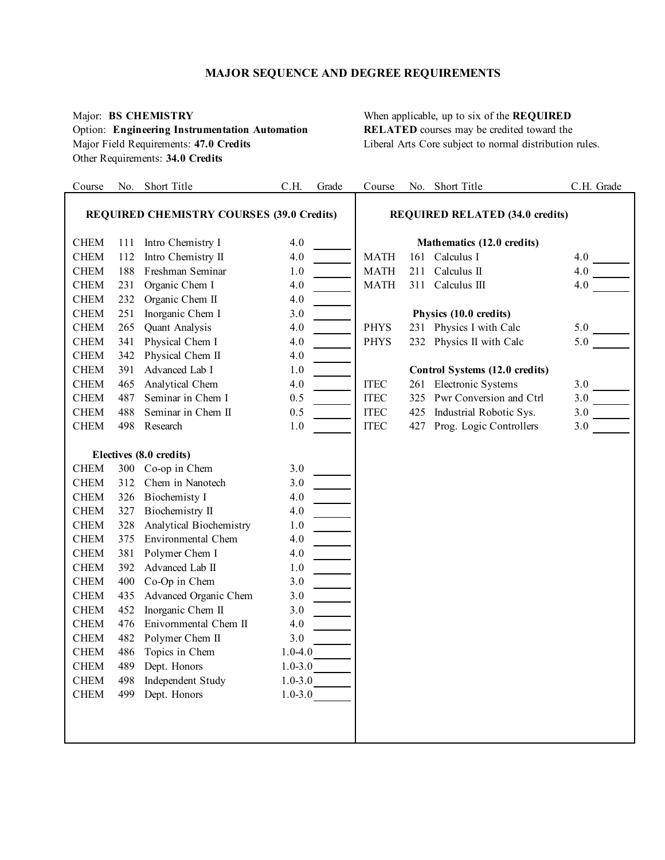# **MAJOR SEQUENCE AND DEGREE REQUIREMENTS**

# Option: **Engineering Instrumentation Automation RELATED** courses may be credited toward the Other Requirements: **34.0 Credits**

Major: **BS CHEMISTRY** When applicable, up to six of the **REQUIRED**  Major Field Requirements: 47.0 Credits **Liberal Arts Core subject to normal distribution rules**.

| Course       |                                                  | No. Short Title         | C.H.        | Grade | Course                       |     | No. Short Title                        | C.H. Grade |
|--------------|--------------------------------------------------|-------------------------|-------------|-------|------------------------------|-----|----------------------------------------|------------|
|              |                                                  |                         |             |       |                              |     |                                        |            |
|              | <b>REQUIRED CHEMISTRY COURSES (39.0 Credits)</b> |                         |             |       |                              |     | <b>REQUIRED RELATED (34.0 credits)</b> |            |
| <b>CHEM</b>  | 111                                              | Intro Chemistry I       | 4.0         |       |                              |     | Mathematics (12.0 credits)             |            |
| <b>CHEM</b>  | 112                                              | Intro Chemistry II      | 4.0         |       | <b>MATH</b>                  |     | 161 Calculus I                         | 4.0        |
| <b>CHEM</b>  | 188                                              | Freshman Seminar        | 1.0         |       | <b>MATH</b>                  | 211 | Calculus II                            | 4.0        |
| ${\rm CHEM}$ | 231                                              | Organic Chem I          | 4.0         |       | <b>MATH</b>                  |     | 311 Calculus III                       | 4.0        |
| <b>CHEM</b>  | 232                                              | Organic Chem II         | 4.0         |       |                              |     |                                        |            |
| <b>CHEM</b>  | 251                                              | Inorganic Chem I        | 3.0         |       |                              |     | Physics (10.0 credits)                 |            |
| ${\rm CHEM}$ | 265                                              | Quant Analysis          | 4.0         |       | <b>PHYS</b>                  |     | 231 Physics I with Calc                | 5.0        |
| ${\rm CHEM}$ | 341                                              | Physical Chem I         | 4.0         |       | <b>PHYS</b>                  |     | 232 Physics II with Calc               | 5.0        |
| <b>CHEM</b>  | 342                                              | Physical Chem II        | 4.0         |       |                              |     |                                        |            |
| <b>CHEM</b>  | 391                                              | Advanced Lab I          | 1.0         |       |                              |     | Control Systems (12.0 credits)         |            |
| <b>CHEM</b>  | 465                                              | Analytical Chem         | 4.0         |       | <b>ITEC</b>                  |     | 261 Electronic Systems                 | 3.0        |
| <b>CHEM</b>  | 487                                              | Seminar in Chem I       | 0.5         |       | $\ensuremath{\mathsf{ITEC}}$ |     | 325 Pwr Conversion and Ctrl            |            |
| <b>CHEM</b>  | 488                                              | Seminar in Chem II      | 0.5         |       | $\ensuremath{\mathsf{ITEC}}$ | 425 | Industrial Robotic Sys.                | 3.0        |
| <b>CHEM</b>  | 498                                              | Research                | $1.0\,$     |       | <b>ITEC</b>                  | 427 | Prog. Logic Controllers                | 3.0        |
|              |                                                  |                         |             |       |                              |     |                                        |            |
|              |                                                  | Electives (8.0 credits) |             |       |                              |     |                                        |            |
| <b>CHEM</b>  |                                                  | 300 Co-op in Chem       | 3.0         |       |                              |     |                                        |            |
| <b>CHEM</b>  | 312                                              | Chem in Nanotech        | 3.0         |       |                              |     |                                        |            |
| ${\rm CHEM}$ | 326                                              | <b>Biochemisty I</b>    | 4.0         |       |                              |     |                                        |            |
| <b>CHEM</b>  | 327                                              | Biochemistry II         | 4.0         |       |                              |     |                                        |            |
| <b>CHEM</b>  | 328                                              | Analytical Biochemistry | $1.0\,$     |       |                              |     |                                        |            |
| <b>CHEM</b>  | 375                                              | Environmental Chem      | 4.0         |       |                              |     |                                        |            |
| <b>CHEM</b>  | 381                                              | Polymer Chem I          | 4.0         |       |                              |     |                                        |            |
| <b>CHEM</b>  | 392                                              | Advanced Lab II         | 1.0         |       |                              |     |                                        |            |
| <b>CHEM</b>  | 400                                              | Co-Op in Chem           | 3.0         |       |                              |     |                                        |            |
| <b>CHEM</b>  | 435                                              | Advanced Organic Chem   | 3.0         |       |                              |     |                                        |            |
| <b>CHEM</b>  | 452                                              | Inorganic Chem II       | 3.0         |       |                              |     |                                        |            |
| ${\rm CHEM}$ | 476                                              | Enivornmental Chem II   | 4.0         |       |                              |     |                                        |            |
| <b>CHEM</b>  | 482                                              | Polymer Chem II         | 3.0         |       |                              |     |                                        |            |
| <b>CHEM</b>  | 486                                              | Topics in Chem          | $1.0 - 4.0$ |       |                              |     |                                        |            |
| <b>CHEM</b>  | 489                                              | Dept. Honors            | $1.0 - 3.0$ |       |                              |     |                                        |            |
| <b>CHEM</b>  | 498                                              | Independent Study       | $1.0 - 3.0$ |       |                              |     |                                        |            |
| <b>CHEM</b>  | 499                                              | Dept. Honors            | $1.0 - 3.0$ |       |                              |     |                                        |            |
|              |                                                  |                         |             |       |                              |     |                                        |            |
|              |                                                  |                         |             |       |                              |     |                                        |            |
|              |                                                  |                         |             |       |                              |     |                                        |            |